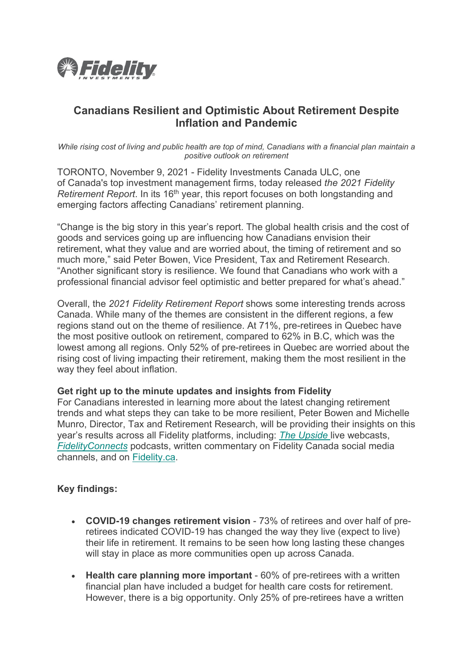

# **Canadians Resilient and Optimistic About Retirement Despite Inflation and Pandemic**

*While rising cost of living and public health are top of mind, Canadians with a financial plan maintain a positive outlook on retirement*

TORONTO, November 9, 2021 - Fidelity Investments Canada ULC, one of Canada's top investment management firms, today released *the 2021 Fidelity Retirement Report*. In its 16<sup>th</sup> year, this report focuses on both longstanding and emerging factors affecting Canadians' retirement planning.

"Change is the big story in this year's report. The global health crisis and the cost of goods and services going up are influencing how Canadians envision their retirement, what they value and are worried about, the timing of retirement and so much more," said Peter Bowen, Vice President, Tax and Retirement Research. "Another significant story is resilience. We found that Canadians who work with a professional financial advisor feel optimistic and better prepared for what's ahead."

Overall, the *2021 Fidelity Retirement Report* shows some interesting trends across Canada. While many of the themes are consistent in the different regions, a few regions stand out on the theme of resilience. At 71%, pre-retirees in Quebec have the most positive outlook on retirement, compared to 62% in B.C, which was the lowest among all regions. Only 52% of pre-retirees in Quebec are worried about the rising cost of living impacting their retirement, making them the most resilient in the way they feel about inflation.

## **Get right up to the minute updates and insights from Fidelity**

For Canadians interested in learning more about the latest changing retirement trends and what steps they can take to be more resilient, Peter Bowen and Michelle Munro, Director, Tax and Retirement Research, will be providing their insights on this year's results across all Fidelity platforms, including: *[The Upside](https://www.fidelity.ca/fidca/en/investor/investorwebcasts)* live webcasts, *[FidelityConnects](https://c212.net/c/link/?t=0&l=en&o=2841916-1&h=1007019052&u=https%3A%2F%2Ffidelitycanada.podbean.com%2F&a=FidelityConnects)* podcasts, written commentary on Fidelity Canada social media channels, and on [Fidelity.ca.](https://c212.net/c/link/?t=0&l=en&o=2841916-1&h=1757322329&u=https%3A%2F%2Fwww.fidelity.ca%2Ffidca%2Fen%2Fhome&a=Fidelity.ca)

## **Key findings:**

- **COVID-19 changes retirement vision**  73% of retirees and over half of preretirees indicated COVID-19 has changed the way they live (expect to live) their life in retirement. It remains to be seen how long lasting these changes will stay in place as more communities open up across Canada.
- **Health care planning more important**  60% of pre-retirees with a written financial plan have included a budget for health care costs for retirement. However, there is a big opportunity. Only 25% of pre-retirees have a written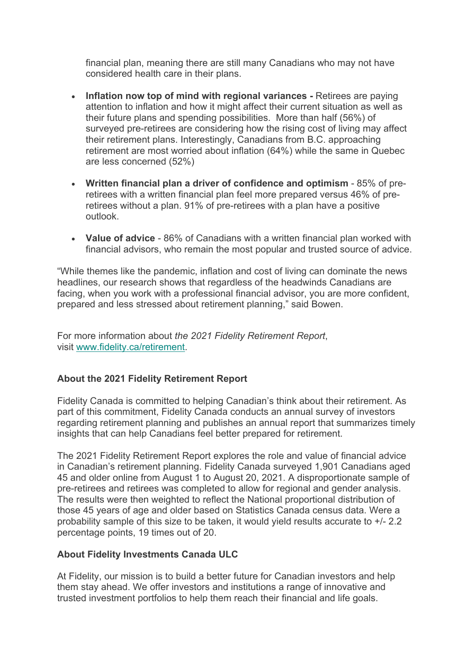financial plan, meaning there are still many Canadians who may not have considered health care in their plans.

- **Inflation now top of mind with regional variances -** Retirees are paying attention to inflation and how it might affect their current situation as well as their future plans and spending possibilities. More than half (56%) of surveyed pre-retirees are considering how the rising cost of living may affect their retirement plans. Interestingly, Canadians from B.C. approaching retirement are most worried about inflation (64%) while the same in Quebec are less concerned (52%)
- **Written financial plan a driver of confidence and optimism** 85% of preretirees with a written financial plan feel more prepared versus 46% of preretirees without a plan. 91% of pre-retirees with a plan have a positive outlook.
- **Value of advice** 86% of Canadians with a written financial plan worked with financial advisors, who remain the most popular and trusted source of advice.

"While themes like the pandemic, inflation and cost of living can dominate the news headlines, our research shows that regardless of the headwinds Canadians are facing, when you work with a professional financial advisor, you are more confident, prepared and less stressed about retirement planning," said Bowen.

For more information about *the 2021 Fidelity Retirement Report*, visit [www.fidelity.ca/retirement.](https://c212.net/c/link/?t=0&l=en&o=2841916-1&h=1219462980&u=https%3A%2F%2Fgo.fidelity.ca%2Fretirementsurvey&a=www.fidelity.ca%2Fretirement)

## **About the 2021 Fidelity Retirement Report**

Fidelity Canada is committed to helping Canadian's think about their retirement. As part of this commitment, Fidelity Canada conducts an annual survey of investors regarding retirement planning and publishes an annual report that summarizes timely insights that can help Canadians feel better prepared for retirement.

The 2021 Fidelity Retirement Report explores the role and value of financial advice in Canadian's retirement planning. Fidelity Canada surveyed 1,901 Canadians aged 45 and older online from August 1 to August 20, 2021. A disproportionate sample of pre-retirees and retirees was completed to allow for regional and gender analysis. The results were then weighted to reflect the National proportional distribution of those 45 years of age and older based on Statistics Canada census data. Were a probability sample of this size to be taken, it would yield results accurate to +/- 2.2 percentage points, 19 times out of 20.

## **About Fidelity Investments Canada ULC**

At Fidelity, our mission is to build a better future for Canadian investors and help them stay ahead. We offer investors and institutions a range of innovative and trusted investment portfolios to help them reach their financial and life goals.